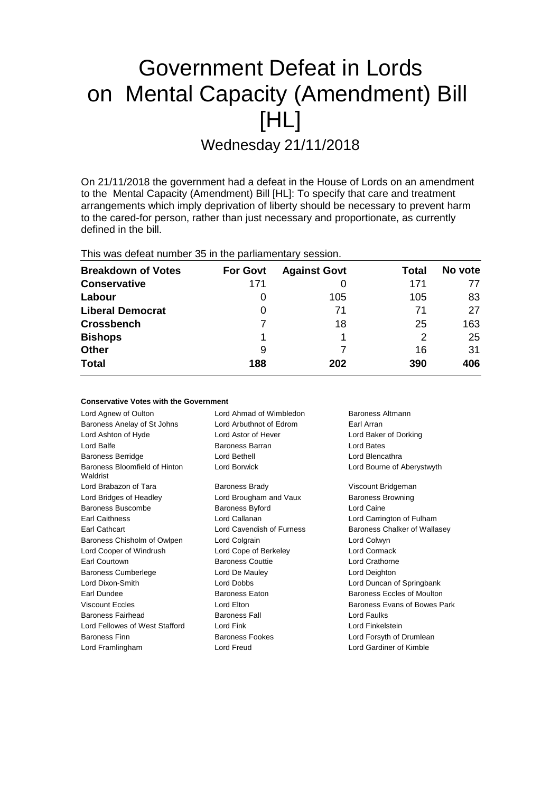# Government Defeat in Lords on Mental Capacity (Amendment) Bill [HL]

Wednesday 21/11/2018

On 21/11/2018 the government had a defeat in the House of Lords on an amendment to the Mental Capacity (Amendment) Bill [HL]: To specify that care and treatment arrangements which imply deprivation of liberty should be necessary to prevent harm to the cared-for person, rather than just necessary and proportionate, as currently defined in the bill.

This was defeat number 35 in the parliamentary session.

| <b>Breakdown of Votes</b> | <b>For Govt</b> | <b>Against Govt</b> | Total | No vote |
|---------------------------|-----------------|---------------------|-------|---------|
| <b>Conservative</b>       | 171             |                     | 171   | 77      |
| Labour                    | O               | 105                 | 105   | 83      |
| <b>Liberal Democrat</b>   | 0               | 71                  | 71    | 27      |
| <b>Crossbench</b>         |                 | 18                  | 25    | 163     |
| <b>Bishops</b>            |                 |                     | 2     | 25      |
| <b>Other</b>              | 9               |                     | 16    | 31      |
| <b>Total</b>              | 188             | 202                 | 390   | 406     |

| <b>Conservative Votes with the Government</b> |  |  |  |  |
|-----------------------------------------------|--|--|--|--|
|-----------------------------------------------|--|--|--|--|

| Lord Agnew of Oulton                      | Lord Ahmad of Wimbledon   | Baroness Altmann             |
|-------------------------------------------|---------------------------|------------------------------|
| Baroness Anelay of St Johns               | Lord Arbuthnot of Edrom   | Earl Arran                   |
| Lord Ashton of Hyde                       | Lord Astor of Hever       | Lord Baker of Dorking        |
| Lord Balfe                                | <b>Baroness Barran</b>    | Lord Bates                   |
| <b>Baroness Berridge</b>                  | Lord Bethell              | Lord Blencathra              |
| Baroness Bloomfield of Hinton<br>Waldrist | Lord Borwick              | Lord Bourne of Aberystwyth   |
| Lord Brabazon of Tara                     | <b>Baroness Brady</b>     | Viscount Bridgeman           |
| Lord Bridges of Headley                   | Lord Brougham and Vaux    | <b>Baroness Browning</b>     |
| Baroness Buscombe                         | Baroness Byford           | Lord Caine                   |
| <b>Earl Caithness</b>                     | Lord Callanan             | Lord Carrington of Fulham    |
| Earl Cathcart                             | Lord Cavendish of Furness | Baroness Chalker of Wallasey |
| Baroness Chisholm of Owlpen               | Lord Colgrain             | Lord Colwyn                  |
| Lord Cooper of Windrush                   | Lord Cope of Berkeley     | Lord Cormack                 |
| Earl Courtown                             | <b>Baroness Couttie</b>   | Lord Crathorne               |
| <b>Baroness Cumberlege</b>                | Lord De Mauley            | Lord Deighton                |
| Lord Dixon-Smith                          | Lord Dobbs                | Lord Duncan of Springbank    |
| Earl Dundee                               | <b>Baroness Eaton</b>     | Baroness Eccles of Moulton   |
| <b>Viscount Eccles</b>                    | Lord Elton                | Baroness Evans of Bowes Park |
| Baroness Fairhead                         | <b>Baroness Fall</b>      | Lord Faulks                  |
| Lord Fellowes of West Stafford            | Lord Fink                 | Lord Finkelstein             |
| <b>Baroness Finn</b>                      | Baroness Fookes           | Lord Forsyth of Drumlean     |
| Lord Framlingham                          | Lord Freud                | Lord Gardiner of Kimble      |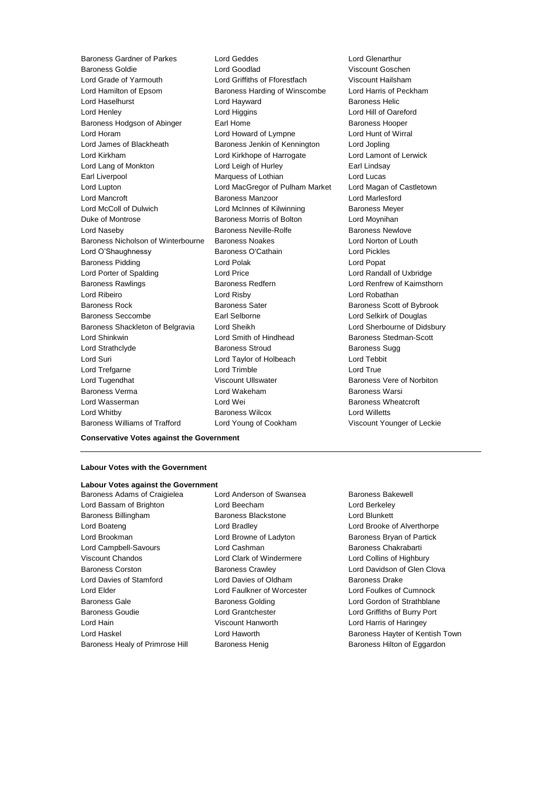Baroness Gardner of Parkes Lord Geddes Lord Glenarthur Baroness Goldie Lord Goodlad Viscount Goschen Lord Grade of Yarmouth Lord Griffiths of Fforestfach Viscount Hailsham Lord Hamilton of Epsom Baroness Harding of Winscombe Lord Harris of Peckham Lord Haselhurst **Lord Hayward** Baroness Helic Lord Henley **Lord Higgins** Lord Higgins **Lord Hill of Oareford** Baroness Hodgson of Abinger **Earl Home Communist Example 2** Baroness Hooper Lord Horam Lord Howard of Lympne Lord Hunt of Wirral Lord James of Blackheath Baroness Jenkin of Kennington Lord Jopling Lord Kirkham Lord Kirkhope of Harrogate Lord Lamont of Lerwick Lord Lang of Monkton **Lord Leigh of Hurley** Earl Lindsay Earl Liverpool **Earl Liverpool** Marquess of Lothian **Lord Lucas** Lord Lupton Lord MacGregor of Pulham Market Lord Magan of Castletown Lord Mancroft Baroness Manzoor Lord Marlesford Lord McColl of Dulwich Lord McInnes of Kilwinning Baroness Meyer Duke of Montrose Baroness Morris of Bolton Lord Moynihan Lord Naseby **Baroness Neville-Rolfe** Baroness Newlove Baroness Nicholson of Winterbourne Baroness Noakes Lord Norton of Louth Lord O'Shaughnessy Baroness O'Cathain Lord Pickles Baroness Pidding **Lord Polak** Lord Polak **Lord Popat** Lord Porter of Spalding **Lord Price** Lord Price **Lord Randall of Uxbridge** Baroness Rawlings **Baroness Redfern Baroness Redfern Lord Renfrew of Kaimsthorn** Lord Ribeiro Lord Risby Lord Robathan Baroness Rock **Baroness Sater** Baroness Sater **Baroness Scott of Bybrook** Baroness Seccombe Earl Selborne Lord Selkirk of Douglas Baroness Shackleton of Belgravia Lord Sheikh Lord Sherbourne of Didsbury Lord Shinkwin Lord Smith of Hindhead Baroness Stedman-Scott Lord Strathclyde **Baroness Stroud** Baroness Stroud Baroness Sugg Lord Suri Lord Taylor of Holbeach Lord Tebbit Lord Trefgarne **Lord Trimble** Lord Trimble **Lord True** Lord Tugendhat **Night Communist Communist Communist Communist Communist Communist Communist Communist Communist Communist Communist Communist Communist Communist Communist Communist Communist Communist Communist Communist** Baroness Verma Lord Wakeham Baroness Warsi Lord Wasserman **Lord Wei** Lord Wei **Baroness Wheatcroft** Lord Whitby Baroness Wilcox Lord Willetts

Baroness Williams of Trafford Lord Young of Cookham Viscount Younger of Leckie

**Conservative Votes against the Government**

#### **Labour Votes with the Government**

# **Labour Votes against the Government**

Lord Bassam of Brighton Lord Beecham Lord Berkeley Baroness Billingham Baroness Blackstone Lord Blunkett Lord Boateng Lord Bradley Lord Brooke of Alverthorpe Lord Brookman **Lord Browne of Ladyton** Baroness Bryan of Partick Lord Campbell-Savours Lord Cashman Baroness Chakrabarti Viscount Chandos Lord Clark of Windermere Lord Collins of Highbury Baroness Corston **Baroness Crawley Baroness Crawley Lord Davidson of Glen Clova** Lord Davies of Stamford **Lord Davies of Oldham** Baroness Drake Lord Elder Lord Faulkner of Worcester Lord Foulkes of Cumnock Baroness Gale **Baroness Golding Baroness Golding Lord Gordon of Strathblane** Baroness Goudie Lord Grantchester Lord Griffiths of Burry Port Lord Hain Viscount Hanworth Lord Harris of Haringey Lord Haskel Lord Haworth Baroness Hayter of Kentish Town Baroness Healy of Primrose Hill Baroness Henig Baroness Henig Baroness Hilton of Eggardon

Baroness Adams of Craigielea Lord Anderson of Swansea Baroness Bakewell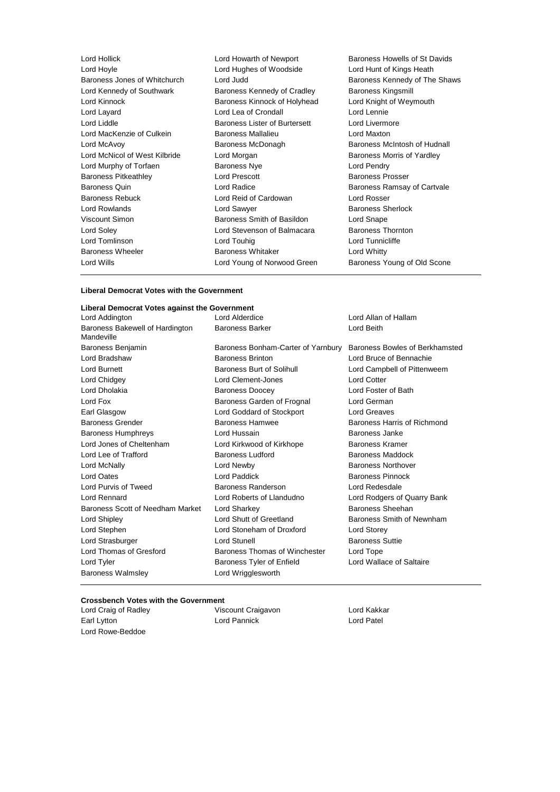| Lord Hollick                  | Lord Howarth of Newport              | <b>Baroness Ho</b>   |
|-------------------------------|--------------------------------------|----------------------|
| Lord Hoyle                    | Lord Hughes of Woodside              | Lord Hunt of         |
| Baroness Jones of Whitchurch  | Lord Judd                            | <b>Baroness Ke</b>   |
| Lord Kennedy of Southwark     | Baroness Kennedy of Cradley          | <b>Baroness Kir</b>  |
| Lord Kinnock                  | Baroness Kinnock of Holyhead         | Lord Knight o        |
| Lord Layard                   | Lord Lea of Crondall                 | Lord Lennie          |
| Lord Liddle                   | <b>Baroness Lister of Burtersett</b> | Lord Livermo         |
| Lord MacKenzie of Culkein     | <b>Baroness Mallalieu</b>            | Lord Maxton          |
| Lord McAvoy                   | Baroness McDonagh                    | <b>Baroness Mo</b>   |
| Lord McNicol of West Kilbride | Lord Morgan                          | <b>Baroness Mo</b>   |
| Lord Murphy of Torfaen        | <b>Baroness Nye</b>                  | Lord Pendry          |
| <b>Baroness Pitkeathley</b>   | Lord Prescott                        | Baroness Pro         |
| <b>Baroness Quin</b>          | Lord Radice                          | <b>Baroness Ra</b>   |
| <b>Baroness Rebuck</b>        | Lord Reid of Cardowan                | Lord Rosser          |
| Lord Rowlands                 | Lord Sawyer                          | <b>Baroness Sh</b>   |
| Viscount Simon                | Baroness Smith of Basildon           | Lord Snape           |
| Lord Soley                    | Lord Stevenson of Balmacara          | <b>Baroness Th</b>   |
| Lord Tomlinson                | Lord Touhig                          | <b>Lord Tunnicli</b> |
| <b>Baroness Wheeler</b>       | <b>Baroness Whitaker</b>             | Lord Whitty          |
| Lord Wills                    | Lord Young of Norwood Green          | <b>Baroness Yo</b>   |
|                               |                                      |                      |

roness Howells of St Davids rd Hunt of Kings Heath roness Kennedy of The Shaws roness Kingsmill rd Knight of Weymouth rd Livermore roness McIntosh of Hudnall roness Morris of Yardley rd Pendry roness Prosser roness Ramsay of Cartvale roness Sherlock roness Thornton rd Tunnicliffe rd Whitty roness Young of Old Scone

#### **Liberal Democrat Votes with the Government**

#### **Liberal Democrat Votes against the Government**

| Lord Addington                                | Lord Alderdice                     | Lord Allan of Hallam           |
|-----------------------------------------------|------------------------------------|--------------------------------|
| Baroness Bakewell of Hardington<br>Mandeville | <b>Baroness Barker</b>             | Lord Beith                     |
| Baroness Benjamin                             | Baroness Bonham-Carter of Yarnbury | Baroness Bowles of Berkhamsted |
| Lord Bradshaw                                 | <b>Baroness Brinton</b>            | Lord Bruce of Bennachie        |
| <b>Lord Burnett</b>                           | <b>Baroness Burt of Solihull</b>   | Lord Campbell of Pittenweem    |
| Lord Chidgey                                  | Lord Clement-Jones                 | <b>Lord Cotter</b>             |
| Lord Dholakia                                 | <b>Baroness Doocey</b>             | Lord Foster of Bath            |
| Lord Fox                                      | Baroness Garden of Frognal         | Lord German                    |
| Earl Glasgow                                  | Lord Goddard of Stockport          | <b>Lord Greaves</b>            |
| <b>Baroness Grender</b>                       | <b>Baroness Hamwee</b>             | Baroness Harris of Richmond    |
| <b>Baroness Humphreys</b>                     | Lord Hussain                       | Baroness Janke                 |
| Lord Jones of Cheltenham                      | Lord Kirkwood of Kirkhope          | Baroness Kramer                |
| Lord Lee of Trafford                          | <b>Baroness Ludford</b>            | Baroness Maddock               |
| Lord McNally                                  | Lord Newby                         | <b>Baroness Northover</b>      |
| Lord Oates                                    | Lord Paddick                       | Baroness Pinnock               |
| Lord Purvis of Tweed                          | Baroness Randerson                 | Lord Redesdale                 |
| <b>Lord Rennard</b>                           | Lord Roberts of Llandudno          | Lord Rodgers of Quarry Bank    |
| Baroness Scott of Needham Market              | Lord Sharkey                       | Baroness Sheehan               |
| Lord Shipley                                  | Lord Shutt of Greetland            | Baroness Smith of Newnham      |
| Lord Stephen                                  | Lord Stoneham of Droxford          | Lord Storey                    |
| Lord Strasburger                              | Lord Stunell                       | <b>Baroness Suttie</b>         |
| Lord Thomas of Gresford                       | Baroness Thomas of Winchester      | Lord Tope                      |
| Lord Tyler                                    | Baroness Tyler of Enfield          | Lord Wallace of Saltaire       |
| <b>Baroness Walmsley</b>                      | Lord Wrigglesworth                 |                                |

#### **Crossbench Votes with the Government**

| Lord Craig of Radley | Viscount Craigavon | Lord Kakkar |
|----------------------|--------------------|-------------|
| Earl Lytton          | Lord Pannick       | Lord Patel  |
| Lord Rowe-Beddoe     |                    |             |